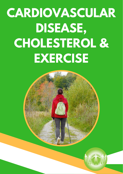# **CARDIOVASCULAR DISEASE, CHOLESTEROL & EXERCISE**



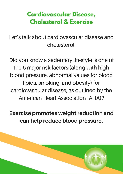# **Cardiovascular Disease, Cholesterol & Exercise**

Let's talk about cardiovascular disease and cholesterol.

Did you know a sedentary lifestyle is one of the 5 major risk factors (along with high blood pressure, abnormal values for blood lipids, smoking, and obesity) for cardiovascular disease, as outlined by the American Heart Association (AHA)?

Exercise promotes weight reduction and can help reduce blood pressure.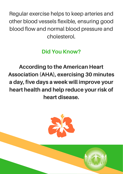Regular exercise helps to keep arteries and other blood vessels flexible, ensuring good blood flow and normal blood pressure and cholesterol.

#### Did You Know?

According to the American Heart Association (AHA), exercising 30 minutes a day, five days a week will improve your heart health and help reduce your risk of heart disease.

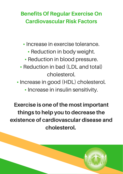#### Benefits Of Regular Exercise On Cardiovascular Risk Factors

• Increase in exercise tolerance.

- Reduction in body weight.
- Reduction in blood pressure.
- Reduction in bad (LDL and total) cholesterol.
- Increase in good (HDL) cholesterol.
	- Increase in insulin sensitivity.

Exercise is one of the most important things to help you to decrease the existence of cardiovascular disease and cholesterol.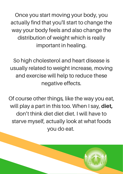Once you start moving your body, you actually find that you'll start to change the way your body feels and also change the distribution of weight which is really important in healing.

So high cholesterol and heart disease is usually related to weight increase, moving and exercise will help to reduce these negative effects.

Of course other things, like the way you eat, will play a part in this too. When I say, diet, don't think diet diet diet. I will have to starve myself, actually look at what foods you do eat.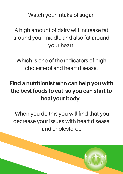Watch your intake of sugar.

A high amount of dairy will increase fat around your middle and also fat around your heart.

Which is one of the indicators of high cholesterol and heart disease.

## Find a nutritionist who can help you with the best foods to eat so you can start to heal your body.

When you do this you will find that you decrease your issues with heart disease and cholesterol.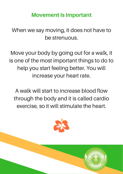#### Movement Is Important

When we say moving, it does not have to be strenuous.

Move your body by going out for a walk, it is one of the most important things to do to help you start feeling better. You will increase your heart rate.

A walk will start to increase blood flow through the body and it is called cardio exercise, so it will stimulate the heart.

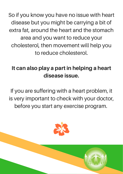So if you know you have no issue with heart disease but you might be carrying a bit of extra fat, around the heart and the stomach area and you want to reduce your cholesterol, then movement will help you to reduce cholesterol.

#### It can also play a part in helping a heart disease issue.

If you are suffering with a heart problem, it is very important to check with your doctor, before you start any exercise program.